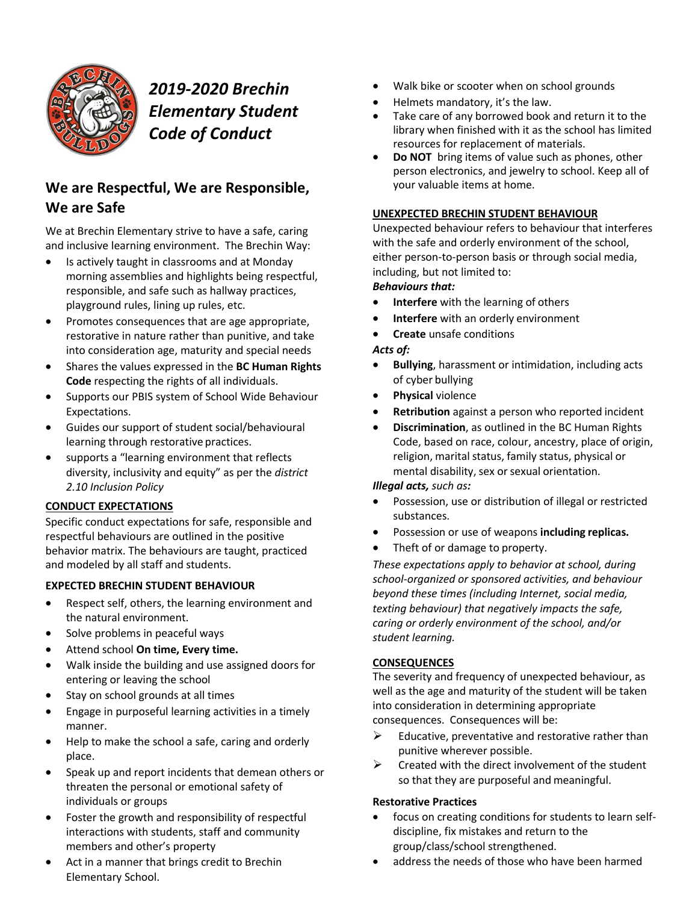

# *2019-2020 Brechin Elementary Student Code of Conduct*

## **We are Respectful, We are Responsible, We are Safe**

We at Brechin Elementary strive to have a safe, caring and inclusive learning environment. The Brechin Way:

- Is actively taught in classrooms and at Monday morning assemblies and highlights being respectful, responsible, and safe such as hallway practices, playground rules, lining up rules, etc.
- Promotes consequences that are age appropriate, restorative in nature rather than punitive, and take into consideration age, maturity and special needs
- Shares the values expressed in the **BC Human Rights Code** respecting the rights of all individuals.
- Supports our PBIS system of School Wide Behaviour Expectations.
- Guides our support of student social/behavioural learning through restorative practices.
- supports a "learning environment that reflects diversity, inclusivity and equity" as per the *district 2.10 Inclusion Policy*

### **CONDUCT EXPECTATIONS**

Specific conduct expectations for safe, responsible and respectful behaviours are outlined in the positive behavior matrix. The behaviours are taught, practiced and modeled by all staff and students.

#### **EXPECTED BRECHIN STUDENT BEHAVIOUR**

- Respect self, others, the learning environment and the natural environment.
- Solve problems in peaceful ways
- Attend school **On time, Every time.**
- Walk inside the building and use assigned doors for entering or leaving the school
- Stay on school grounds at all times
- Engage in purposeful learning activities in a timely manner.
- Help to make the school a safe, caring and orderly place.
- Speak up and report incidents that demean others or threaten the personal or emotional safety of individuals or groups
- Foster the growth and responsibility of respectful interactions with students, staff and community members and other's property
- Act in a manner that brings credit to Brechin Elementary School.
- Walk bike or scooter when on school grounds
- Helmets mandatory, it's the law.
- Take care of any borrowed book and return it to the library when finished with it as the school has limited resources for replacement of materials.
- **Do NOT** bring items of value such as phones, other person electronics, and jewelry to school. Keep all of your valuable items at home.

#### **UNEXPECTED BRECHIN STUDENT BEHAVIOUR**

Unexpected behaviour refers to behaviour that interferes with the safe and orderly environment of the school, either person-to-person basis or through social media, including, but not limited to:

#### *Behaviours that:*

- **Interfere** with the learning of others
- **Interfere** with an orderly environment
- **Create** unsafe conditions

#### *Acts of:*

- **Bullying**, harassment or intimidation, including acts of cyber bullying
- **Physical** violence
- **Retribution** against a person who reported incident
- **Discrimination**, as outlined in the BC Human Rights Code, based on race, colour, ancestry, place of origin, religion, marital status, family status, physical or mental disability, sex or sexual orientation.

#### *Illegal acts, such as:*

- Possession, use or distribution of illegal or restricted substances.
- Possession or use of weapons **including replicas.**
- Theft of or damage to property.

*These expectations apply to behavior at school, during school-organized or sponsored activities, and behaviour beyond these times (including Internet, social media, texting behaviour) that negatively impacts the safe, caring or orderly environment of the school, and/or student learning.*

#### **CONSEQUENCES**

The severity and frequency of unexpected behaviour, as well as the age and maturity of the student will be taken into consideration in determining appropriate consequences. Consequences will be:

- $\triangleright$  Educative, preventative and restorative rather than punitive wherever possible.
- $\triangleright$  Created with the direct involvement of the student so that they are purposeful and meaningful.

#### **Restorative Practices**

- focus on creating conditions for students to learn selfdiscipline, fix mistakes and return to the group/class/school strengthened.
- address the needs of those who have been harmed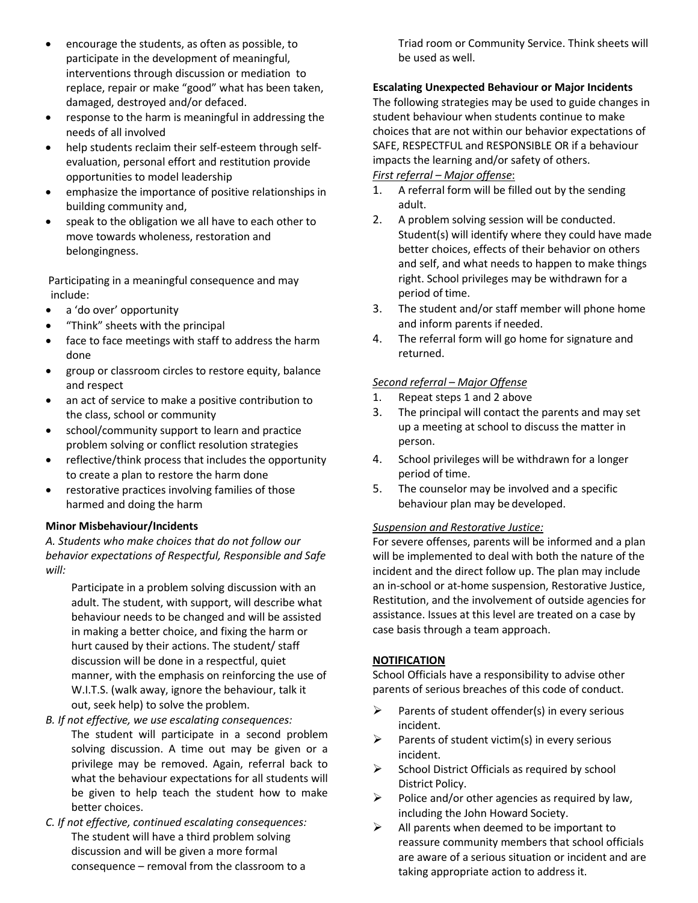- encourage the students, as often as possible, to participate in the development of meaningful, interventions through discussion or mediation to replace, repair or make "good" what has been taken, damaged, destroyed and/or defaced.
- response to the harm is meaningful in addressing the needs of all involved
- help students reclaim their self-esteem through selfevaluation, personal effort and restitution provide opportunities to model leadership
- emphasize the importance of positive relationships in building community and,
- speak to the obligation we all have to each other to move towards wholeness, restoration and belongingness.

Participating in a meaningful consequence and may include:

- a 'do over' opportunity
- "Think" sheets with the principal
- face to face meetings with staff to address the harm done
- group or classroom circles to restore equity, balance and respect
- an act of service to make a positive contribution to the class, school or community
- school/community support to learn and practice problem solving or conflict resolution strategies
- reflective/think process that includes the opportunity to create a plan to restore the harm done
- restorative practices involving families of those harmed and doing the harm

#### **Minor Misbehaviour/Incidents**

*A. Students who make choices that do not follow our behavior expectations of Respectful, Responsible and Safe will:*

Participate in a problem solving discussion with an adult. The student, with support, will describe what behaviour needs to be changed and will be assisted in making a better choice, and fixing the harm or hurt caused by their actions. The student/ staff discussion will be done in a respectful, quiet manner, with the emphasis on reinforcing the use of W.I.T.S. (walk away, ignore the behaviour, talk it out, seek help) to solve the problem.

- *B. If not effective, we use escalating consequences:* The student will participate in a second problem solving discussion. A time out may be given or a privilege may be removed. Again, referral back to what the behaviour expectations for all students will be given to help teach the student how to make better choices.
- *C. If not effective, continued escalating consequences:* The student will have a third problem solving discussion and will be given a more formal consequence – removal from the classroom to a

Triad room or Community Service. Think sheets will be used as well.

#### **Escalating Unexpected Behaviour or Major Incidents**

The following strategies may be used to guide changes in student behaviour when students continue to make choices that are not within our behavior expectations of SAFE, RESPECTFUL and RESPONSIBLE OR if a behaviour impacts the learning and/or safety of others. *First referral – Major offense*:

- 1. A referral form will be filled out by the sending adult.
- 2. A problem solving session will be conducted. Student(s) will identify where they could have made better choices, effects of their behavior on others and self, and what needs to happen to make things right. School privileges may be withdrawn for a period of time.
- 3. The student and/or staff member will phone home and inform parents if needed.
- 4. The referral form will go home for signature and returned.

### *Second referral – Major Offense*

- 1. Repeat steps 1 and 2 above
- 3. The principal will contact the parents and may set up a meeting at school to discuss the matter in person.
- 4. School privileges will be withdrawn for a longer period of time.
- 5. The counselor may be involved and a specific behaviour plan may be developed.

#### *Suspension and Restorative Justice:*

For severe offenses, parents will be informed and a plan will be implemented to deal with both the nature of the incident and the direct follow up. The plan may include an in-school or at-home suspension, Restorative Justice, Restitution, and the involvement of outside agencies for assistance. Issues at this level are treated on a case by case basis through a team approach.

#### **NOTIFICATION**

School Officials have a responsibility to advise other parents of serious breaches of this code of conduct.

- $\triangleright$  Parents of student offender(s) in every serious incident.
- $\triangleright$  Parents of student victim(s) in every serious incident.
- $\triangleright$  School District Officials as required by school District Policy.
- $\triangleright$  Police and/or other agencies as required by law, including the John Howard Society.
- $\triangleright$  All parents when deemed to be important to reassure community members that school officials are aware of a serious situation or incident and are taking appropriate action to address it.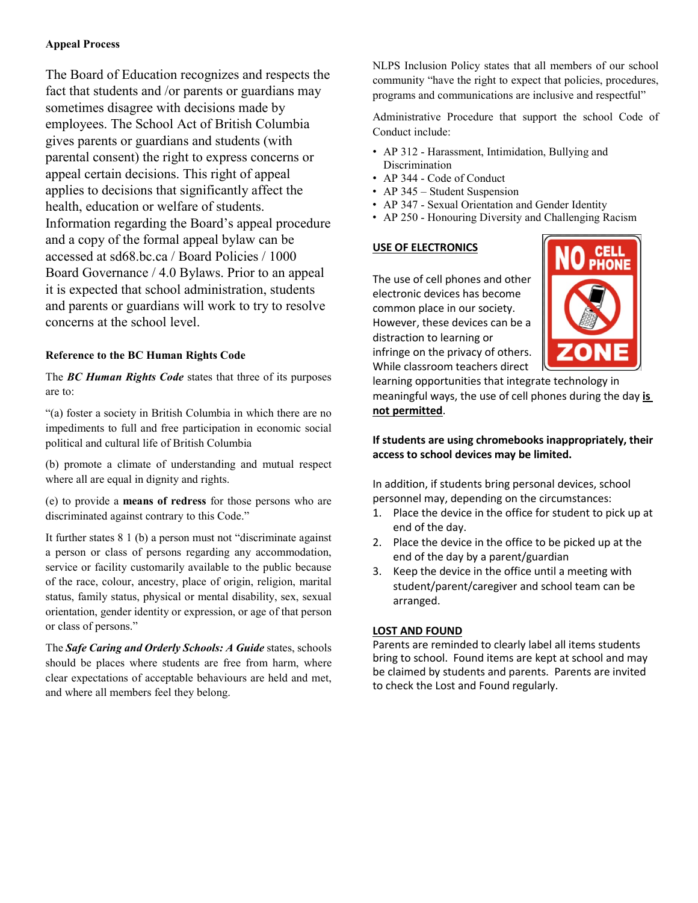#### **Appeal Process**

The Board of Education recognizes and respects the fact that students and /or parents or guardians may sometimes disagree with decisions made by employees. The School Act of British Columbia gives parents or guardians and students (with parental consent) the right to express concerns or appeal certain decisions. This right of appeal applies to decisions that significantly affect the health, education or welfare of students. Information regarding the Board's appeal procedure and a copy of the formal appeal bylaw can be accessed at sd68.bc.ca / Board Policies / 1000 Board Governance / 4.0 Bylaws. Prior to an appeal it is expected that school administration, students and parents or guardians will work to try to resolve concerns at the school level.

#### **Reference to the BC Human Rights Code**

The *BC Human Rights Code* states that three of its purposes are to:

"(a) foster a society in British Columbia in which there are no impediments to full and free participation in economic social political and cultural life of British Columbia

(b) promote a climate of understanding and mutual respect where all are equal in dignity and rights.

(e) to provide a **means of redress** for those persons who are discriminated against contrary to this Code."

It further states 8 1 (b) a person must not "discriminate against a person or class of persons regarding any accommodation, service or facility customarily available to the public because of the race, colour, ancestry, place of origin, religion, marital status, family status, physical or mental disability, sex, sexual orientation, gender identity or expression, or age of that person or class of persons."

The *Safe Caring and Orderly Schools: A Guide* states, schools should be places where students are free from harm, where clear expectations of acceptable behaviours are held and met, and where all members feel they belong.

NLPS Inclusion Policy states that all members of our school community "have the right to expect that policies, procedures, programs and communications are inclusive and respectful"

Administrative Procedure that support the school Code of Conduct include:

- AP 312 Harassment, Intimidation, Bullying and **Discrimination**
- AP 344 Code of Conduct
- AP 345 Student Suspension
- AP 347 Sexual Orientation and Gender Identity
- AP 250 Honouring Diversity and Challenging Racism

#### **USE OF ELECTRONICS**

The use of cell phones and other electronic devices has become common place in our society. However, these devices can be a distraction to learning or infringe on the privacy of others. While classroom teachers direct



learning opportunities that integrate technology in meaningful ways, the use of cell phones during the day **is not permitted**.

#### **If students are using chromebooks inappropriately, their access to school devices may be limited.**

In addition, if students bring personal devices, school personnel may, depending on the circumstances:

- 1. Place the device in the office for student to pick up at end of the day.
- 2. Place the device in the office to be picked up at the end of the day by a parent/guardian
- 3. Keep the device in the office until a meeting with student/parent/caregiver and school team can be arranged.

#### **LOST AND FOUND**

Parents are reminded to clearly label all items students bring to school. Found items are kept at school and may be claimed by students and parents. Parents are invited to check the Lost and Found regularly.